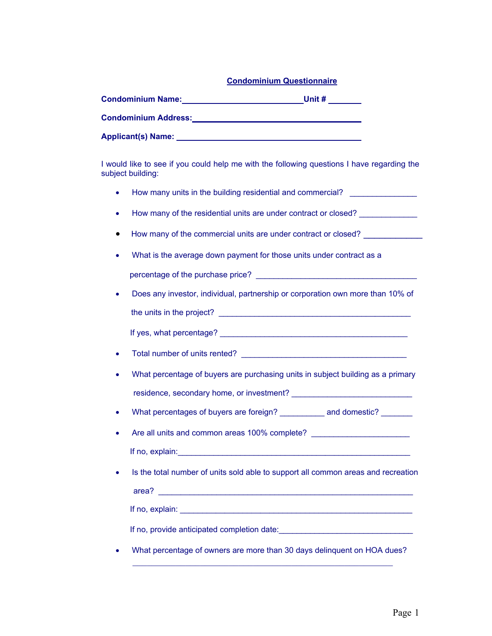## **Condominium Questionnaire**

| <b>Condominium Name:</b>    | Unit # |
|-----------------------------|--------|
| <b>Condominium Address:</b> |        |
| <b>Applicant(s) Name:</b>   |        |

I would like to see if you could help me with the following questions I have regarding the subject building:

- How many units in the building residential and commercial? \_\_\_\_\_\_\_\_\_\_\_\_\_\_\_
- How many of the residential units are under contract or closed? \_\_\_\_\_\_\_\_\_\_\_\_\_\_\_\_
- How many of the commercial units are under contract or closed? \_\_\_\_\_\_\_\_\_\_\_
- What is the average down payment for those units under contract as a

percentage of the purchase price?  $\blacksquare$ 

• Does any investor, individual, partnership or corporation own more than 10% of the units in the project? \_\_\_\_\_\_\_\_\_\_\_\_\_\_\_\_\_\_\_\_\_\_\_\_\_\_\_\_\_\_\_\_\_\_\_\_\_\_\_\_\_\_\_

If yes, what percentage? **Example 2** and the set of the set of the set of the set of the set of the set of the set of the set of the set of the set of the set of the set of the set of the set of the set of the set of the s

- Total number of units rented? **Example 2**
- What percentage of buyers are purchasing units in subject building as a primary residence, secondary home, or investment? \_\_\_\_\_\_\_\_\_\_\_\_\_\_\_\_\_\_\_\_\_\_\_\_\_\_\_
- What percentages of buyers are foreign? entitled and domestic?
- Are all units and common areas 100% complete? \_\_\_\_\_\_\_\_\_\_\_\_\_\_\_\_\_\_\_\_\_\_\_\_\_\_\_\_\_\_\_\_\_\_ If no, explain:  $\Box$
- Is the total number of units sold able to support all common areas and recreation

area? \_\_\_\_\_\_\_\_\_\_\_\_\_\_\_\_\_\_\_\_\_\_\_\_\_\_\_\_\_\_\_\_\_\_\_\_\_\_\_\_\_\_\_\_\_\_\_\_\_\_\_\_\_\_\_\_\_

If no, explain:  $\Box$ 

If no, provide anticipated completion date:

• What percentage of owners are more than 30 days delinquent on HOA dues?  $\mathcal{L}_\text{G}$  , and the contribution of the contribution of the contribution of the contribution of the contribution of the contribution of the contribution of the contribution of the contribution of the contribution of t